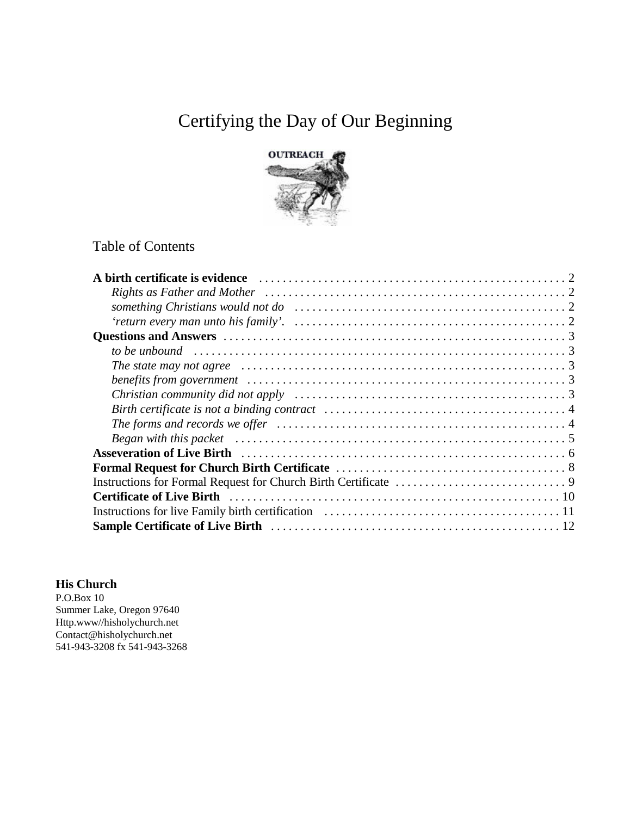# Certifying the Day of Our Beginning



# Table of Contents

| Asseveration of Live Birth (and the context of the Birth context of the Birth context of the Birth context of the Birth context of the Birth context of the Birth context of the Birth context of the Birth context of the Bir |  |
|--------------------------------------------------------------------------------------------------------------------------------------------------------------------------------------------------------------------------------|--|
|                                                                                                                                                                                                                                |  |
|                                                                                                                                                                                                                                |  |
|                                                                                                                                                                                                                                |  |
|                                                                                                                                                                                                                                |  |
|                                                                                                                                                                                                                                |  |

### **His Church**

P.O.Box 10 Summer Lake, Oregon 97640 Http.www//hisholychurch.net Contact@hisholychurch.net 541-943-3208 fx 541-943-3268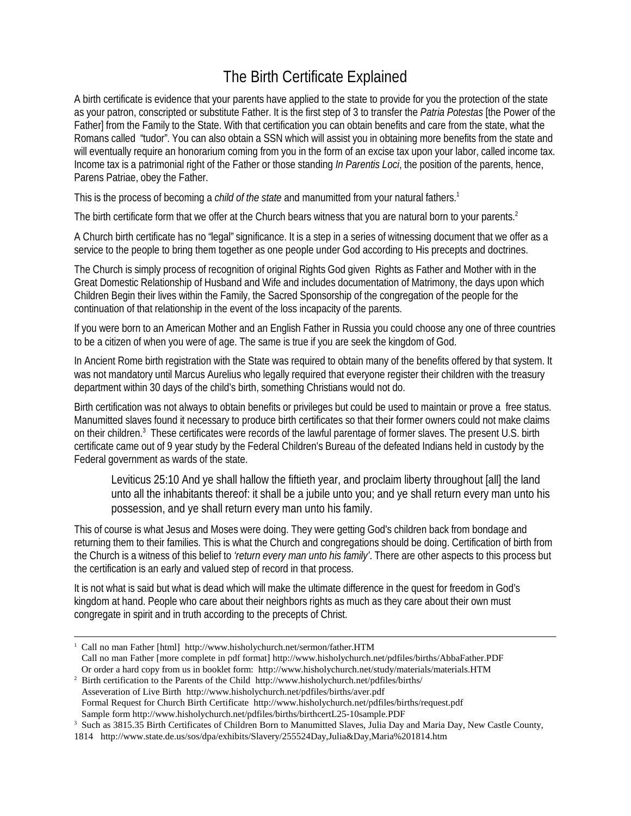# The Birth Certificate Explained

A birth certificate is evidence that your parents have applied to the state to provide for you the protection of the state as your patron, conscripted or substitute Father. It is the first step of 3 to transfer the *Patria Potestas* [the Power of the Father] from the Family to the State. With that certification you can obtain benefits and care from the state, what the Romans called "tudor". You can also obtain a SSN which will assist you in obtaining more benefits from the state and will eventually require an honorarium coming from you in the form of an excise tax upon your labor, called income tax. Income tax is a patrimonial right of the Father or those standing *In Parentis Loci*, the position of the parents, hence, Parens Patriae, obey the Father.

This is the process of becoming a *child of the state* and manumitted from your natural fathers.<sup>1</sup>

The birth certificate form that we offer at the Church bears witness that you are natural born to your parents.<sup>2</sup>

A Church birth certificate has no "legal" significance. It is a step in a series of witnessing document that we offer as a service to the people to bring them together as one people under God according to His precepts and doctrines.

The Church is simply process of recognition of original Rights God given Rights as Father and Mother with in the Great Domestic Relationship of Husband and Wife and includes documentation of Matrimony, the days upon which Children Begin their lives within the Family, the Sacred Sponsorship of the congregation of the people for the continuation of that relationship in the event of the loss incapacity of the parents.

If you were born to an American Mother and an English Father in Russia you could choose any one of three countries to be a citizen of when you were of age. The same is true if you are seek the kingdom of God.

In Ancient Rome birth registration with the State was required to obtain many of the benefits offered by that system. It was not mandatory until Marcus Aurelius who legally required that everyone register their children with the treasury department within 30 days of the child's birth, something Christians would not do.

Birth certification was not always to obtain benefits or privileges but could be used to maintain or prove a free status. Manumitted slaves found it necessary to produce birth certificates so that their former owners could not make claims on their children.<sup>3</sup> These certificates were records of the lawful parentage of former slaves. The present U.S. birth certificate came out of 9 year study by the Federal Children's Bureau of the defeated Indians held in custody by the Federal government as wards of the state.

Leviticus 25:10 And ye shall hallow the fiftieth year, and proclaim liberty throughout [all] the land unto all the inhabitants thereof: it shall be a jubile unto you; and ye shall return every man unto his possession, and ye shall return every man unto his family.

This of course is what Jesus and Moses were doing. They were getting God's children back from bondage and returning them to their families. This is what the Church and congregations should be doing. Certification of birth from the Church is a witness of this belief to *'return every man unto his family'*. There are other aspects to this process but the certification is an early and valued step of record in that process.

It is not what is said but what is dead which will make the ultimate difference in the quest for freedom in God's kingdom at hand. People who care about their neighbors rights as much as they care about their own must congregate in spirit and in truth according to the precepts of Christ.

<sup>2</sup> Birth certification to the Parents of the Child http://www.hisholychurch.net/pdfiles/births/ Asseveration of Live Birth http://www.hisholychurch.net/pdfiles/births/aver.pdf Formal Request for Church Birth Certificate http://www.hisholychurch.net/pdfiles/births/request.pdf Sample form http://www.hisholychurch.net/pdfiles/births/birthcertL25-10sample.PDF

<sup>&</sup>lt;sup>1</sup> Call no man Father [html] http://www.hisholychurch.net/sermon/father.HTM Call no man Father [more complete in pdf format] http://www.hisholychurch.net/pdfiles/births/AbbaFather.PDF Or order a hard copy from us in booklet form: http://www.hisholychurch.net/study/materials/materials.HTM

<sup>&</sup>lt;sup>3</sup> Such as 3815.35 Birth Certificates of Children Born to Manumitted Slaves, Julia Day and Maria Day, New Castle County,

<sup>1814</sup> http://www.state.de.us/sos/dpa/exhibits/Slavery/255524Day,Julia&Day,Maria%201814.htm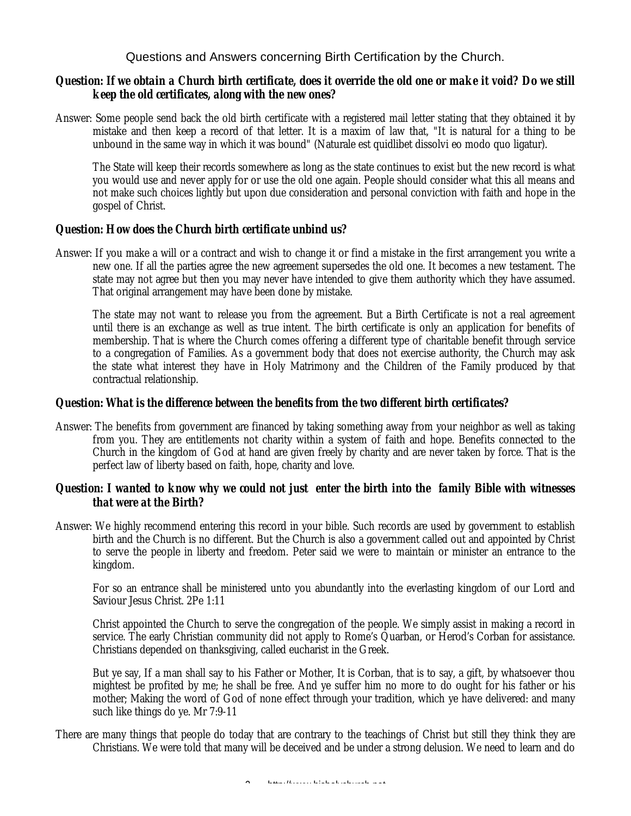Questions and Answers concerning Birth Certification by the Church.

### *Question: If we obtain a Church birth certificate, does it override the old one or make it void? Do we still keep the old certificates, along with the new ones?*

Answer: Some people send back the old birth certificate with a registered mail letter stating that they obtained it by mistake and then keep a record of that letter. It is a maxim of law that, "It is natural for a thing to be unbound in the same way in which it was bound" (Naturale est quidlibet dissolvi eo modo quo ligatur).

The State will keep their records somewhere as long as the state continues to exist but the new record is what you would use and never apply for or use the old one again. People should consider what this all means and not make such choices lightly but upon due consideration and personal conviction with faith and hope in the gospel of Christ.

### *Question: How does the Church birth certificate unbind us?*

Answer: If you make a will or a contract and wish to change it or find a mistake in the first arrangement you write a new one. If all the parties agree the new agreement supersedes the old one. It becomes a new testament. The state may not agree but then you may never have intended to give them authority which they have assumed. That original arrangement may have been done by mistake.

The state may not want to release you from the agreement. But a Birth Certificate is not a real agreement until there is an exchange as well as true intent. The birth certificate is only an application for benefits of membership. That is where the Church comes offering a different type of charitable benefit through service to a congregation of Families. As a government body that does not exercise authority, the Church may ask the state what interest they have in Holy Matrimony and the Children of the Family produced by that contractual relationship.

### *Question: What is the difference between the benefits from the two different birth certificates?*

Answer: The benefits from government are financed by taking something away from your neighbor as well as taking from you. They are entitlements not charity within a system of faith and hope. Benefits connected to the Church in the kingdom of God at hand are given freely by charity and are never taken by force. That is the perfect law of liberty based on faith, hope, charity and love.

### *Question: I wanted to know why we could not just enter the birth into the family Bible with witnesses that were at the Birth?*

Answer: We highly recommend entering this record in your bible. Such records are used by government to establish birth and the Church is no different. But the Church is also a government called out and appointed by Christ to serve the people in liberty and freedom. Peter said we were to maintain or minister an entrance to the kingdom.

For so an entrance shall be ministered unto you abundantly into the everlasting kingdom of our Lord and Saviour Jesus Christ. 2Pe 1:11

Christ appointed the Church to serve the congregation of the people. We simply assist in making a record in service. The early Christian community did not apply to Rome's Quarban, or Herod's Corban for assistance. Christians depended on thanksgiving, called eucharist in the Greek.

But ye say, If a man shall say to his Father or Mother, It is Corban, that is to say, a gift, by whatsoever thou mightest be profited by me; he shall be free. And ye suffer him no more to do ought for his father or his mother; Making the word of God of none effect through your tradition, which ye have delivered: and many such like things do ye. Mr 7:9-11

There are many things that people do today that are contrary to the teachings of Christ but still they think they are Christians. We were told that many will be deceived and be under a strong delusion. We need to learn and do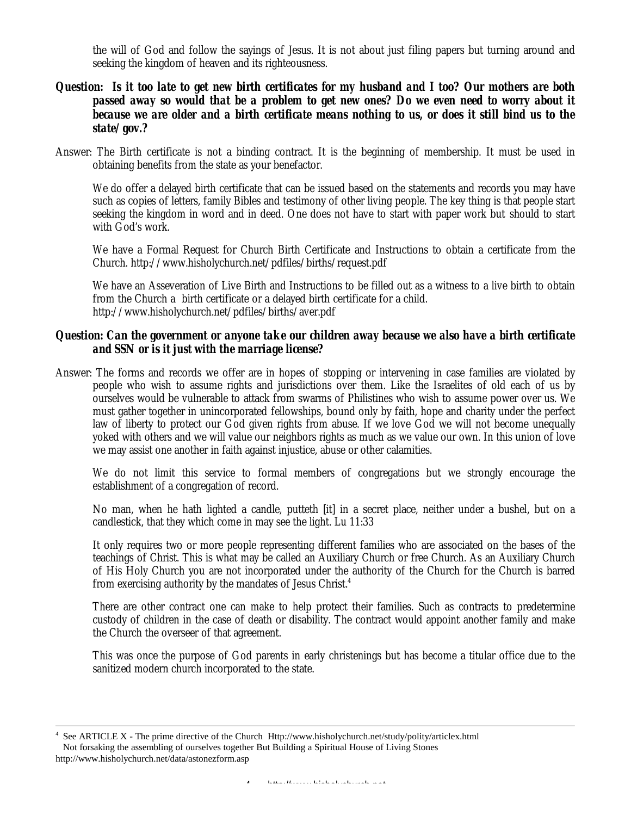the will of God and follow the sayings of Jesus. It is not about just filing papers but turning around and seeking the kingdom of heaven and its righteousness.

### *Question: Is it too late to get new birth certificates for my husband and I too? Our mothers are both passed away so would that be a problem to get new ones? Do we even need to worry about it because we are older and a birth certificate means nothing to us, or does it still bind us to the state/gov.?*

Answer: The Birth certificate is not a binding contract. It is the beginning of membership. It must be used in obtaining benefits from the state as your benefactor.

We do offer a delayed birth certificate that can be issued based on the statements and records you may have such as copies of letters, family Bibles and testimony of other living people. The key thing is that people start seeking the kingdom in word and in deed. One does not have to start with paper work but should to start with God's work.

We have a Formal Request for Church Birth Certificate and Instructions to obtain a certificate from the Church. http://www.hisholychurch.net/pdfiles/births/request.pdf

We have an Asseveration of Live Birth and Instructions to be filled out as a witness to a live birth to obtain from the Church a birth certificate or a delayed birth certificate for a child. http://www.hisholychurch.net/pdfiles/births/aver.pdf

#### *Question: Can the government or anyone take our children away because we also have a birth certificate and SSN or is it just with the marriage license?*

Answer: The forms and records we offer are in hopes of stopping or intervening in case families are violated by people who wish to assume rights and jurisdictions over them. Like the Israelites of old each of us by ourselves would be vulnerable to attack from swarms of Philistines who wish to assume power over us. We must gather together in unincorporated fellowships, bound only by faith, hope and charity under the perfect law of liberty to protect our God given rights from abuse. If we love God we will not become unequally yoked with others and we will value our neighbors rights as much as we value our own. In this union of love we may assist one another in faith against injustice, abuse or other calamities.

We do not limit this service to formal members of congregations but we strongly encourage the establishment of a congregation of record.

No man, when he hath lighted a candle, putteth [it] in a secret place, neither under a bushel, but on a candlestick, that they which come in may see the light. Lu 11:33

It only requires two or more people representing different families who are associated on the bases of the teachings of Christ. This is what may be called an Auxiliary Church or free Church. As an Auxiliary Church of His Holy Church you are not incorporated under the authority of the Church for the Church is barred from exercising authority by the mandates of Jesus Christ.<sup>4</sup>

There are other contract one can make to help protect their families. Such as contracts to predetermine custody of children in the case of death or disability. The contract would appoint another family and make the Church the overseer of that agreement.

This was once the purpose of God parents in early christenings but has become a titular office due to the sanitized modern church incorporated to the state.

See ARTICLE X - The prime directive of the Church Http://www.hisholychurch.net/study/polity/articlex.html Not forsaking the assembling of ourselves together But Building a Spiritual House of Living Stones http://www.hisholychurch.net/data/astonezform.asp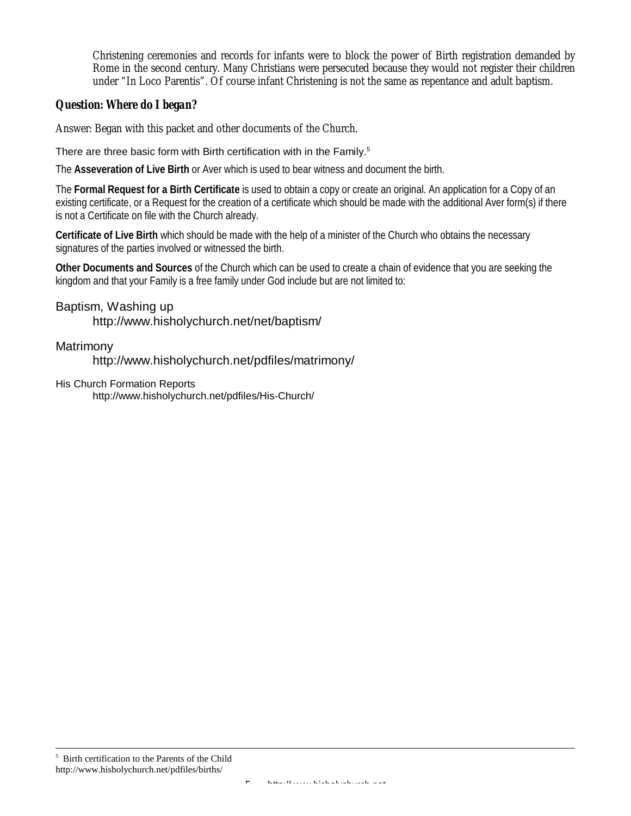Christening ceremonies and records for infants were to block the power of Birth registration demanded by Rome in the second century. Many Christians were persecuted because they would not register their children under "In Loco Parentis". Of course infant Christening is not the same as repentance and adult baptism.

### *Question: Where do I began?*

Answer: Began with this packet and other documents of the Church.

There are three basic form with Birth certification with in the Family.<sup>5</sup>

The **Asseveration of Live Birth** or Aver which is used to bear witness and document the birth.

The **Formal Request for a Birth Certificate** is used to obtain a copy or create an original. An application for a Copy of an existing certificate, or a Request for the creation of a certificate which should be made with the additional Aver form(s) if there is not a Certificate on file with the Church already.

**Certificate of Live Birth** which should be made with the help of a minister of the Church who obtains the necessary signatures of the parties involved or witnessed the birth.

**Other Documents and Sources** of the Church which can be used to create a chain of evidence that you are seeking the kingdom and that your Family is a free family under God include but are not limited to:

### Baptism, Washing up

http://www.hisholychurch.net/net/baptism/

### Matrimony

http://www.hisholychurch.net/pdfiles/matrimony/

His Church Formation Reports

http://www.hisholychurch.net/pdfiles/His-Church/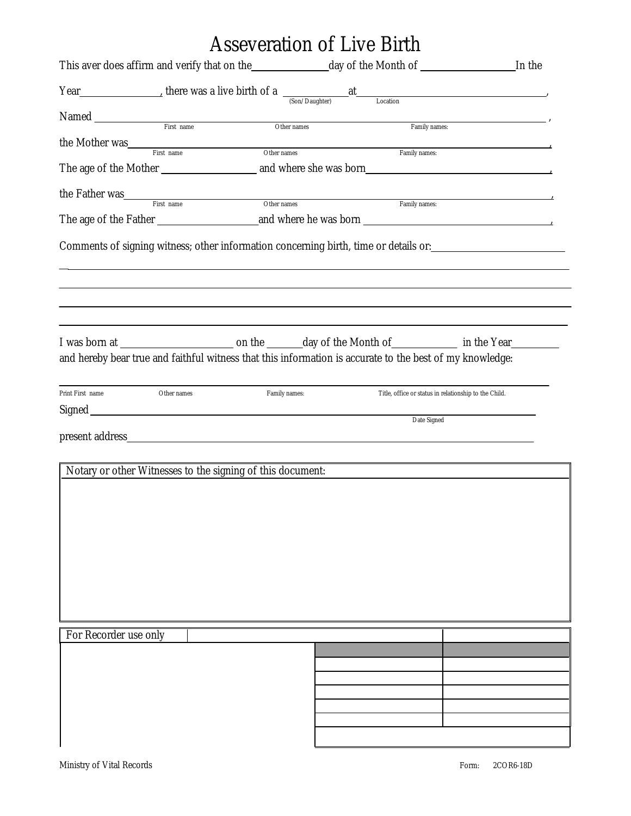# Asseveration of Live Birth

| Year Max et al. There was a live birth of a $\frac{at}{(Son/Daughter)}$ at Location<br>Family names:<br>the Mother was<br>First name<br>Other names<br>Family names:<br>the Father was<br>First name<br>Other names<br>Family names:<br>Comments of signing witness; other information concerning birth, time or details or: _________________________<br>and hereby bear true and faithful witness that this information is accurate to the best of my knowledge:<br>Family names:<br>Other names<br>Title, office or status in relationship to the Child.<br>Date Signed<br>Notary or other Witnesses to the signing of this document:<br>For Recorder use only |                  |  |  |
|-------------------------------------------------------------------------------------------------------------------------------------------------------------------------------------------------------------------------------------------------------------------------------------------------------------------------------------------------------------------------------------------------------------------------------------------------------------------------------------------------------------------------------------------------------------------------------------------------------------------------------------------------------------------|------------------|--|--|
|                                                                                                                                                                                                                                                                                                                                                                                                                                                                                                                                                                                                                                                                   |                  |  |  |
|                                                                                                                                                                                                                                                                                                                                                                                                                                                                                                                                                                                                                                                                   |                  |  |  |
|                                                                                                                                                                                                                                                                                                                                                                                                                                                                                                                                                                                                                                                                   |                  |  |  |
|                                                                                                                                                                                                                                                                                                                                                                                                                                                                                                                                                                                                                                                                   |                  |  |  |
|                                                                                                                                                                                                                                                                                                                                                                                                                                                                                                                                                                                                                                                                   |                  |  |  |
|                                                                                                                                                                                                                                                                                                                                                                                                                                                                                                                                                                                                                                                                   |                  |  |  |
|                                                                                                                                                                                                                                                                                                                                                                                                                                                                                                                                                                                                                                                                   |                  |  |  |
|                                                                                                                                                                                                                                                                                                                                                                                                                                                                                                                                                                                                                                                                   |                  |  |  |
|                                                                                                                                                                                                                                                                                                                                                                                                                                                                                                                                                                                                                                                                   | Print First name |  |  |
|                                                                                                                                                                                                                                                                                                                                                                                                                                                                                                                                                                                                                                                                   |                  |  |  |
|                                                                                                                                                                                                                                                                                                                                                                                                                                                                                                                                                                                                                                                                   |                  |  |  |
|                                                                                                                                                                                                                                                                                                                                                                                                                                                                                                                                                                                                                                                                   |                  |  |  |
|                                                                                                                                                                                                                                                                                                                                                                                                                                                                                                                                                                                                                                                                   |                  |  |  |
|                                                                                                                                                                                                                                                                                                                                                                                                                                                                                                                                                                                                                                                                   |                  |  |  |
|                                                                                                                                                                                                                                                                                                                                                                                                                                                                                                                                                                                                                                                                   |                  |  |  |
|                                                                                                                                                                                                                                                                                                                                                                                                                                                                                                                                                                                                                                                                   |                  |  |  |
|                                                                                                                                                                                                                                                                                                                                                                                                                                                                                                                                                                                                                                                                   |                  |  |  |
|                                                                                                                                                                                                                                                                                                                                                                                                                                                                                                                                                                                                                                                                   |                  |  |  |
|                                                                                                                                                                                                                                                                                                                                                                                                                                                                                                                                                                                                                                                                   |                  |  |  |
|                                                                                                                                                                                                                                                                                                                                                                                                                                                                                                                                                                                                                                                                   |                  |  |  |
|                                                                                                                                                                                                                                                                                                                                                                                                                                                                                                                                                                                                                                                                   |                  |  |  |
|                                                                                                                                                                                                                                                                                                                                                                                                                                                                                                                                                                                                                                                                   |                  |  |  |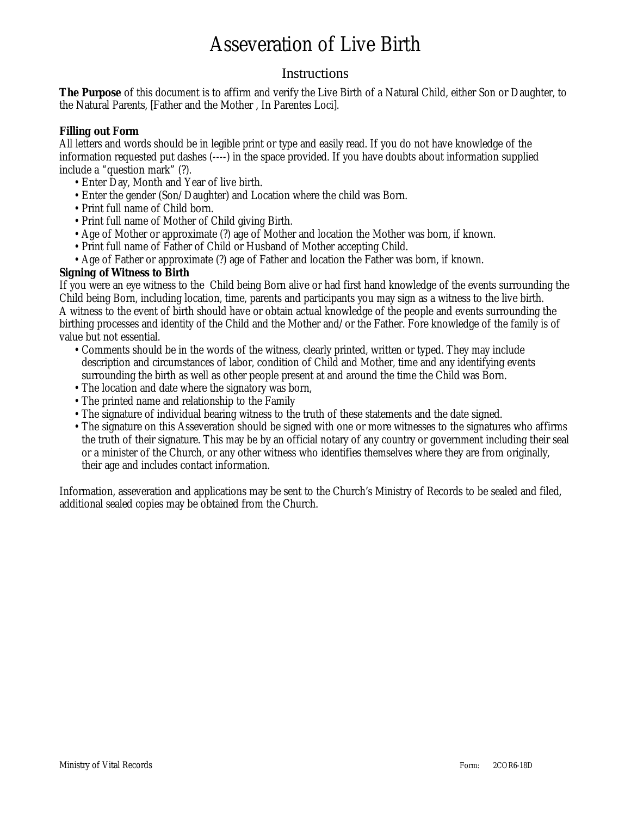# Asseveration of Live Birth

## **Instructions**

**The Purpose** of this document is to affirm and verify the Live Birth of a Natural Child, either Son or Daughter, to the Natural Parents, [Father and the Mother , In Parentes Loci].

### **Filling out Form**

All letters and words should be in legible print or type and easily read. If you do not have knowledge of the information requested put dashes (----) in the space provided. If you have doubts about information supplied include a "question mark" (?).

- •Enter Day, Month and Year of live birth.
- •Enter the gender (Son/Daughter) and Location where the child was Born.
- •Print full name of Child born.
- •Print full name of Mother of Child giving Birth.
- •Age of Mother or approximate (?) age of Mother and location the Mother was born, if known.
- •Print full name of Father of Child or Husband of Mother accepting Child.
- •Age of Father or approximate (?) age of Father and location the Father was born, if known.

### **Signing of Witness to Birth**

If you were an eye witness to the Child being Born alive or had first hand knowledge of the events surrounding the Child being Born, including location, time, parents and participants you may sign as a witness to the live birth. A witness to the event of birth should have or obtain actual knowledge of the people and events surrounding the birthing processes and identity of the Child and the Mother and/or the Father. Fore knowledge of the family is of value but not essential.

- •Comments should be in the words of the witness, clearly printed, written or typed. They may include description and circumstances of labor, condition of Child and Mother, time and any identifying events surrounding the birth as well as other people present at and around the time the Child was Born.
- The location and date where the signatory was born,
- •The printed name and relationship to the Family
- •The signature of individual bearing witness to the truth of these statements and the date signed.
- •The signature on this Asseveration should be signed with one or more witnesses to the signatures who affirms the truth of their signature. This may be by an official notary of any country or government including their seal or a minister of the Church, or any other witness who identifies themselves where they are from originally, their age and includes contact information.

Information, asseveration and applications may be sent to the Church's Ministry of Records to be sealed and filed, additional sealed copies may be obtained from the Church.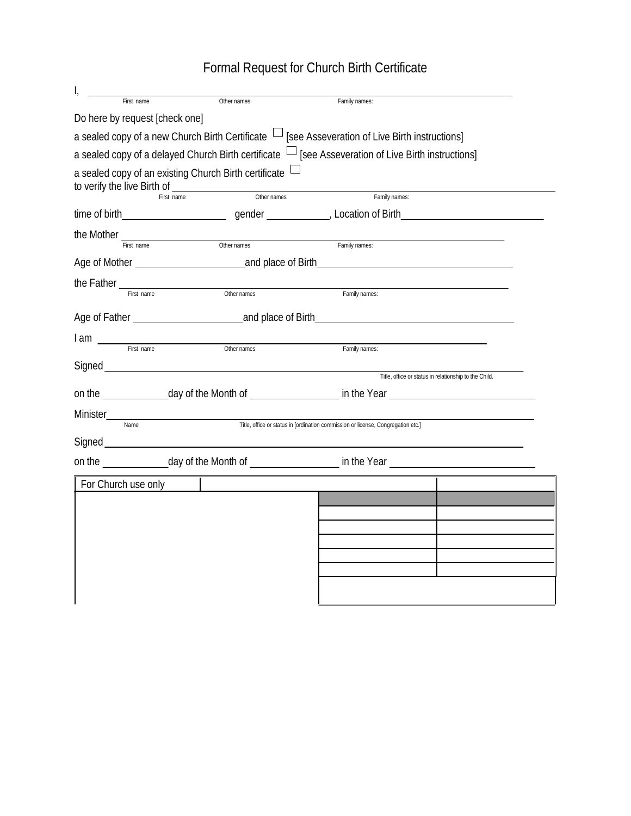Formal Request for Church Birth Certificate

| a sealed copy of an existing Church Birth certificate $\perp$<br>to verify the live Birth of               |  |  |  |  |  |
|------------------------------------------------------------------------------------------------------------|--|--|--|--|--|
|                                                                                                            |  |  |  |  |  |
|                                                                                                            |  |  |  |  |  |
|                                                                                                            |  |  |  |  |  |
|                                                                                                            |  |  |  |  |  |
|                                                                                                            |  |  |  |  |  |
|                                                                                                            |  |  |  |  |  |
|                                                                                                            |  |  |  |  |  |
|                                                                                                            |  |  |  |  |  |
|                                                                                                            |  |  |  |  |  |
|                                                                                                            |  |  |  |  |  |
|                                                                                                            |  |  |  |  |  |
|                                                                                                            |  |  |  |  |  |
|                                                                                                            |  |  |  |  |  |
|                                                                                                            |  |  |  |  |  |
|                                                                                                            |  |  |  |  |  |
| on the _______________day of the Month of ______________________ in the Year _____________________________ |  |  |  |  |  |
|                                                                                                            |  |  |  |  |  |
|                                                                                                            |  |  |  |  |  |
|                                                                                                            |  |  |  |  |  |
|                                                                                                            |  |  |  |  |  |
|                                                                                                            |  |  |  |  |  |
|                                                                                                            |  |  |  |  |  |
|                                                                                                            |  |  |  |  |  |
|                                                                                                            |  |  |  |  |  |
|                                                                                                            |  |  |  |  |  |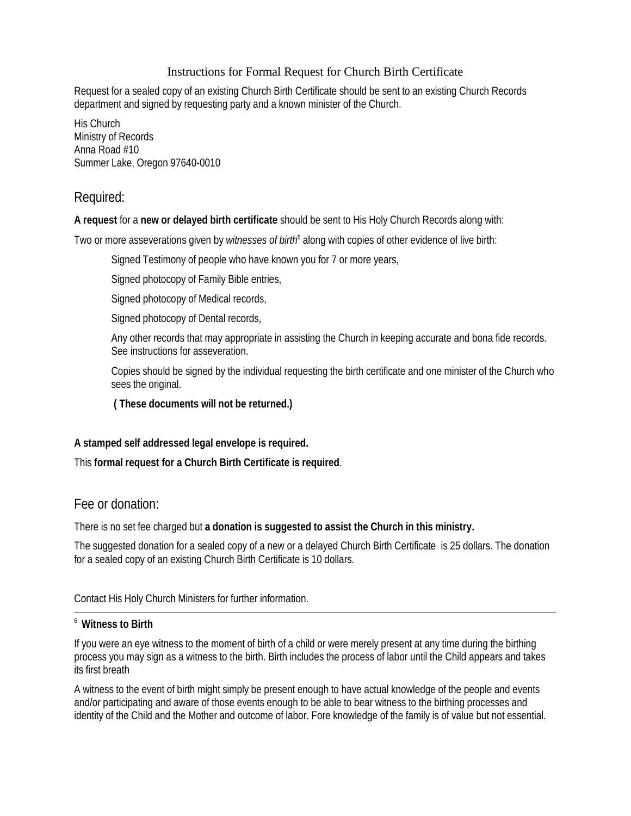### Instructions for Formal Request for Church Birth Certificate

Request for a sealed copy of an existing Church Birth Certificate should be sent to an existing Church Records department and signed by requesting party and a known minister of the Church.

His Church Ministry of Records Anna Road #10 Summer Lake, Oregon 97640-0010

## Required:

### **A request** for a **new or delayed birth certificate** should be sent to His Holy Church Records along with:

Two or more asseverations given by witnesses of birth<sup>6</sup> along with copies of other evidence of live birth:

Signed Testimony of people who have known you for 7 or more years,

Signed photocopy of Family Bible entries,

Signed photocopy of Medical records,

Signed photocopy of Dental records,

Any other records that may appropriate in assisting the Church in keeping accurate and bona fide records. See instructions for asseveration.

Copies should be signed by the individual requesting the birth certificate and one minister of the Church who sees the original.

 **( These documents will not be returned.)**

### **A stamped self addressed legal envelope is required.**

This **formal request for a Church Birth Certificate is required**.

## Fee or donation:

There is no set fee charged but **a donation is suggested to assist the Church in this ministry.**

The suggested donation for a sealed copy of a new or a delayed Church Birth Certificate is 25 dollars. The donation for a sealed copy of an existing Church Birth Certificate is 10 dollars.

Contact His Holy Church Ministers for further information.

### <sup>6</sup> **Witness to Birth**

If you were an eye witness to the moment of birth of a child or were merely present at any time during the birthing process you may sign as a witness to the birth. Birth includes the process of labor until the Child appears and takes its first breath

A witness to the event of birth might simply be present enough to have actual knowledge of the people and events and/or participating and aware of those events enough to be able to bear witness to the birthing processes and identity of the Child and the Mother and outcome of labor. Fore knowledge of the family is of value but not essential.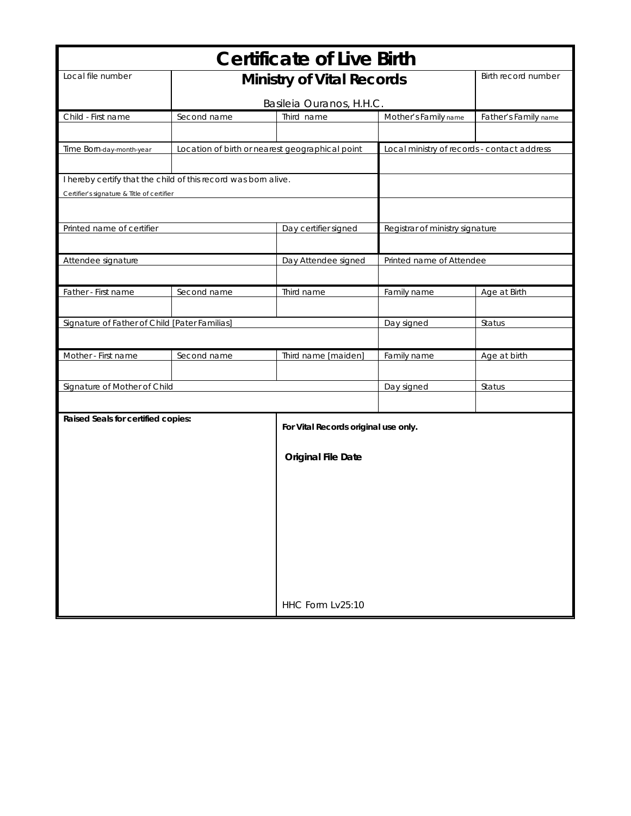| Local file number<br><b>Birth record number</b><br><b>Ministry of Vital Records</b><br>Basileia Ouranos, H.H.C.<br>Child - First name<br>Second name<br>Third name<br>Mother's Family name<br>Father's Family name<br>Time Born-day-month-year<br>Location of birth or nearest geographical point<br>Local ministry of records - contact address<br>I hereby certify that the child of this record was born alive.<br>Certifier's signature & Title of certifier<br>Printed name of certifier<br>Day certifier signed<br>Registrar of ministry signature<br>Attendee signature<br>Day Attendee signed<br>Printed name of Attendee<br>Father - First name<br>Third name<br>Second name<br>Family name<br>Age at Birth<br>Signature of Father of Child [Pater Familias]<br>Day signed<br>Status<br>Mother - First name<br>Second name<br>Third name [maiden]<br>Family name<br>Age at birth<br>Signature of Mother of Child<br>Day signed<br>Status<br>Raised Seals for certified copies:<br>For Vital Records original use only.<br><b>Original File Date</b> | <b>Certificate of Live Birth</b> |  |                  |  |  |  |
|--------------------------------------------------------------------------------------------------------------------------------------------------------------------------------------------------------------------------------------------------------------------------------------------------------------------------------------------------------------------------------------------------------------------------------------------------------------------------------------------------------------------------------------------------------------------------------------------------------------------------------------------------------------------------------------------------------------------------------------------------------------------------------------------------------------------------------------------------------------------------------------------------------------------------------------------------------------------------------------------------------------------------------------------------------------|----------------------------------|--|------------------|--|--|--|
|                                                                                                                                                                                                                                                                                                                                                                                                                                                                                                                                                                                                                                                                                                                                                                                                                                                                                                                                                                                                                                                              |                                  |  |                  |  |  |  |
|                                                                                                                                                                                                                                                                                                                                                                                                                                                                                                                                                                                                                                                                                                                                                                                                                                                                                                                                                                                                                                                              |                                  |  |                  |  |  |  |
|                                                                                                                                                                                                                                                                                                                                                                                                                                                                                                                                                                                                                                                                                                                                                                                                                                                                                                                                                                                                                                                              |                                  |  |                  |  |  |  |
|                                                                                                                                                                                                                                                                                                                                                                                                                                                                                                                                                                                                                                                                                                                                                                                                                                                                                                                                                                                                                                                              |                                  |  |                  |  |  |  |
|                                                                                                                                                                                                                                                                                                                                                                                                                                                                                                                                                                                                                                                                                                                                                                                                                                                                                                                                                                                                                                                              |                                  |  |                  |  |  |  |
|                                                                                                                                                                                                                                                                                                                                                                                                                                                                                                                                                                                                                                                                                                                                                                                                                                                                                                                                                                                                                                                              |                                  |  |                  |  |  |  |
|                                                                                                                                                                                                                                                                                                                                                                                                                                                                                                                                                                                                                                                                                                                                                                                                                                                                                                                                                                                                                                                              |                                  |  |                  |  |  |  |
|                                                                                                                                                                                                                                                                                                                                                                                                                                                                                                                                                                                                                                                                                                                                                                                                                                                                                                                                                                                                                                                              |                                  |  |                  |  |  |  |
|                                                                                                                                                                                                                                                                                                                                                                                                                                                                                                                                                                                                                                                                                                                                                                                                                                                                                                                                                                                                                                                              |                                  |  |                  |  |  |  |
|                                                                                                                                                                                                                                                                                                                                                                                                                                                                                                                                                                                                                                                                                                                                                                                                                                                                                                                                                                                                                                                              |                                  |  |                  |  |  |  |
|                                                                                                                                                                                                                                                                                                                                                                                                                                                                                                                                                                                                                                                                                                                                                                                                                                                                                                                                                                                                                                                              |                                  |  |                  |  |  |  |
|                                                                                                                                                                                                                                                                                                                                                                                                                                                                                                                                                                                                                                                                                                                                                                                                                                                                                                                                                                                                                                                              |                                  |  |                  |  |  |  |
|                                                                                                                                                                                                                                                                                                                                                                                                                                                                                                                                                                                                                                                                                                                                                                                                                                                                                                                                                                                                                                                              |                                  |  |                  |  |  |  |
|                                                                                                                                                                                                                                                                                                                                                                                                                                                                                                                                                                                                                                                                                                                                                                                                                                                                                                                                                                                                                                                              |                                  |  |                  |  |  |  |
|                                                                                                                                                                                                                                                                                                                                                                                                                                                                                                                                                                                                                                                                                                                                                                                                                                                                                                                                                                                                                                                              |                                  |  |                  |  |  |  |
|                                                                                                                                                                                                                                                                                                                                                                                                                                                                                                                                                                                                                                                                                                                                                                                                                                                                                                                                                                                                                                                              |                                  |  |                  |  |  |  |
|                                                                                                                                                                                                                                                                                                                                                                                                                                                                                                                                                                                                                                                                                                                                                                                                                                                                                                                                                                                                                                                              |                                  |  |                  |  |  |  |
|                                                                                                                                                                                                                                                                                                                                                                                                                                                                                                                                                                                                                                                                                                                                                                                                                                                                                                                                                                                                                                                              |                                  |  |                  |  |  |  |
|                                                                                                                                                                                                                                                                                                                                                                                                                                                                                                                                                                                                                                                                                                                                                                                                                                                                                                                                                                                                                                                              |                                  |  |                  |  |  |  |
|                                                                                                                                                                                                                                                                                                                                                                                                                                                                                                                                                                                                                                                                                                                                                                                                                                                                                                                                                                                                                                                              |                                  |  |                  |  |  |  |
|                                                                                                                                                                                                                                                                                                                                                                                                                                                                                                                                                                                                                                                                                                                                                                                                                                                                                                                                                                                                                                                              |                                  |  |                  |  |  |  |
|                                                                                                                                                                                                                                                                                                                                                                                                                                                                                                                                                                                                                                                                                                                                                                                                                                                                                                                                                                                                                                                              |                                  |  |                  |  |  |  |
|                                                                                                                                                                                                                                                                                                                                                                                                                                                                                                                                                                                                                                                                                                                                                                                                                                                                                                                                                                                                                                                              |                                  |  |                  |  |  |  |
|                                                                                                                                                                                                                                                                                                                                                                                                                                                                                                                                                                                                                                                                                                                                                                                                                                                                                                                                                                                                                                                              |                                  |  |                  |  |  |  |
|                                                                                                                                                                                                                                                                                                                                                                                                                                                                                                                                                                                                                                                                                                                                                                                                                                                                                                                                                                                                                                                              |                                  |  |                  |  |  |  |
|                                                                                                                                                                                                                                                                                                                                                                                                                                                                                                                                                                                                                                                                                                                                                                                                                                                                                                                                                                                                                                                              |                                  |  |                  |  |  |  |
|                                                                                                                                                                                                                                                                                                                                                                                                                                                                                                                                                                                                                                                                                                                                                                                                                                                                                                                                                                                                                                                              |                                  |  |                  |  |  |  |
|                                                                                                                                                                                                                                                                                                                                                                                                                                                                                                                                                                                                                                                                                                                                                                                                                                                                                                                                                                                                                                                              |                                  |  |                  |  |  |  |
|                                                                                                                                                                                                                                                                                                                                                                                                                                                                                                                                                                                                                                                                                                                                                                                                                                                                                                                                                                                                                                                              |                                  |  |                  |  |  |  |
|                                                                                                                                                                                                                                                                                                                                                                                                                                                                                                                                                                                                                                                                                                                                                                                                                                                                                                                                                                                                                                                              |                                  |  |                  |  |  |  |
|                                                                                                                                                                                                                                                                                                                                                                                                                                                                                                                                                                                                                                                                                                                                                                                                                                                                                                                                                                                                                                                              |                                  |  |                  |  |  |  |
|                                                                                                                                                                                                                                                                                                                                                                                                                                                                                                                                                                                                                                                                                                                                                                                                                                                                                                                                                                                                                                                              |                                  |  |                  |  |  |  |
|                                                                                                                                                                                                                                                                                                                                                                                                                                                                                                                                                                                                                                                                                                                                                                                                                                                                                                                                                                                                                                                              |                                  |  | HHC Form Lv25:10 |  |  |  |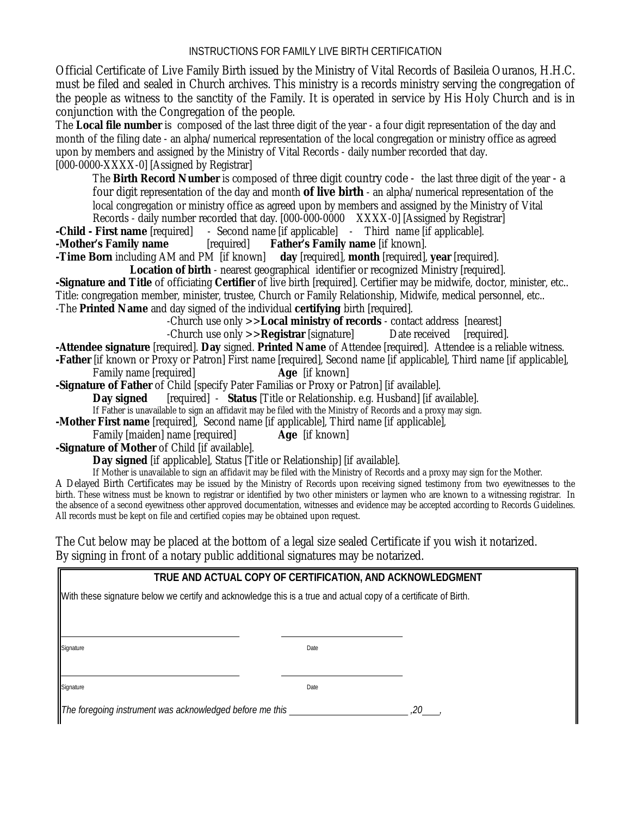Official Certificate of Live Family Birth issued by the Ministry of Vital Records of Basileia Ouranos, H.H.C. must be filed and sealed in Church archives. This ministry is a records ministry serving the congregation of the people as witness to the sanctity of the Family. It is operated in service by His Holy Church and is in conjunction with the Congregation of the people.

The **Local file number** is composed of the last three digit of the year - a four digit representation of the day and month of the filing date - an alpha/numerical representation of the local congregation or ministry office as agreed upon by members and assigned by the Ministry of Vital Records - daily number recorded that day. [000-0000-XXXX-0] [Assigned by Registrar]

The **Birth Record Number** is composed of three digit country code - the last three digit of the year - a four digit representation of the day and month **of live birth** - an alpha/numerical representation of the local congregation or ministry office as agreed upon by members and assigned by the Ministry of Vital

Records - daily number recorded that day. [000-000-0000 XXXX-0] [Assigned by Registrar]

**-Child - First name** [required] - Second name [if applicable] - Third name [if applicable].

**-Mother's Family name** [required] **Father's Family name** [if known].<br>**-Time Born** including AM and PM [if known] day [required], **month** [required],

**day** [required], **month** [required], **year** [required].

**Location of birth** - nearest geographical identifier or recognized Ministry [required].

**-Signature and Title** of officiating **Certifier** of live birth [required]. Certifier may be midwife, doctor, minister, etc.. Title: congregation member, minister, trustee, Church or Family Relationship, Midwife, medical personnel, etc.. -The **Printed Name** and day signed of the individual **certifying** birth [required].

-Church use only  $>>$ **Local ministry of records** - contact address [nearest]<br>-Church use only  $>>$ **Registrar** [signature] Date received [required].

-Church use only  $\geq$ **Registrar** [signature].

**-Attendee signature** [required]. **Day** signed. **Printed Name** of Attendee [required]. Attendee is a reliable witness.

**-Father** [if known or Proxy or Patron] First name [required], Second name [if applicable], Third name [if applicable], Family name [required]

**-Signature of Father** of Child [specify Pater Familias or Proxy or Patron] [if available].

**Day signed** [required] - **Status** [Title or Relationship. e.g. Husband] [if available].

If Father is unavailable to sign an affidavit may be filed with the Ministry of Records and a proxy may sign.

**-Mother First name** [required], Second name [if applicable], Third name [if applicable],

Family [maiden] name [required] **Age** [if known]

**-Signature of Mother** of Child [if available].

**Day signed** [if applicable], Status [Title or Relationship] [if available].

If Mother is unavailable to sign an affidavit may be filed with the Ministry of Records and a proxy may sign for the Mother.

A Delayed Birth Certificates may be issued by the Ministry of Records upon receiving signed testimony from two eyewitnesses to the birth. These witness must be known to registrar or identified by two other ministers or laymen who are known to a witnessing registrar. In the absence of a second eyewitness other approved documentation, witnesses and evidence may be accepted according to Records Guidelines. All records must be kept on file and certified copies may be obtained upon request.

The Cut below may be placed at the bottom of a legal size sealed Certificate if you wish it notarized. By signing in front of a notary public additional signatures may be notarized.

### **TRUE AND ACTUAL COPY OF CERTIFICATION, AND ACKNOWLEDGMENT**

With these signature below we certify and acknowledge this is a true and actual copy of a certificate of Birth.

**Signature** Date **Date of Contract Contract Contract Contract Contract Contract Contract Contract Contract Contract Contract Contract Contract Contract Contract Contract Contract Contract Contract Contract Contract Contrac** 

 $\overline{a}$ 

L

**Signature** Date **Date** Date of Contract Contract Contract Contract Contract Contract Contract Contract Contract Contract Contract Contract Contract Contract Contract Contract Contract Contract Contract Contract Contract C

*The foregoing instrument was acknowledged before me this ,20 ,*